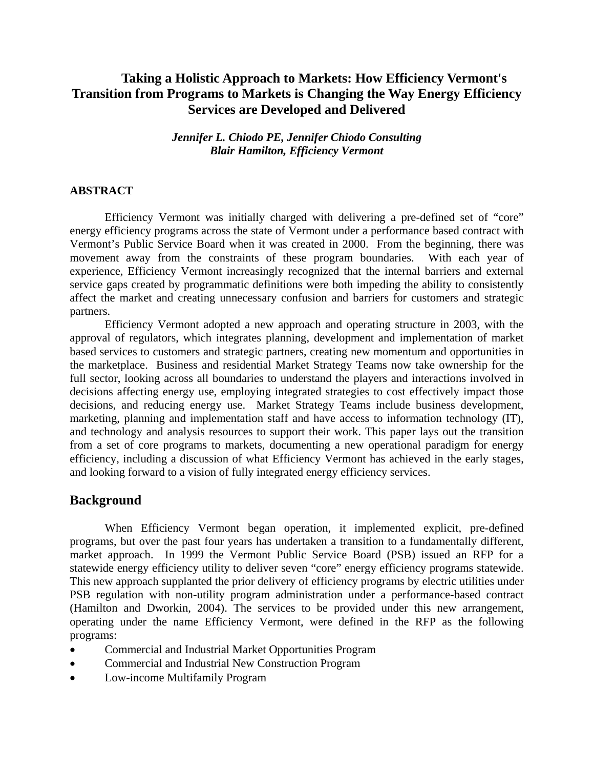# **Taking a Holistic Approach to Markets: How Efficiency Vermont's Transition from Programs to Markets is Changing the Way Energy Efficiency Services are Developed and Delivered**

*Jennifer L. Chiodo PE, Jennifer Chiodo Consulting Blair Hamilton, Efficiency Vermont* 

### **ABSTRACT**

Efficiency Vermont was initially charged with delivering a pre-defined set of "core" energy efficiency programs across the state of Vermont under a performance based contract with Vermont's Public Service Board when it was created in 2000. From the beginning, there was movement away from the constraints of these program boundaries. With each year of experience, Efficiency Vermont increasingly recognized that the internal barriers and external service gaps created by programmatic definitions were both impeding the ability to consistently affect the market and creating unnecessary confusion and barriers for customers and strategic partners.

Efficiency Vermont adopted a new approach and operating structure in 2003, with the approval of regulators, which integrates planning, development and implementation of market based services to customers and strategic partners, creating new momentum and opportunities in the marketplace. Business and residential Market Strategy Teams now take ownership for the full sector, looking across all boundaries to understand the players and interactions involved in decisions affecting energy use, employing integrated strategies to cost effectively impact those decisions, and reducing energy use. Market Strategy Teams include business development, marketing, planning and implementation staff and have access to information technology (IT), and technology and analysis resources to support their work. This paper lays out the transition from a set of core programs to markets, documenting a new operational paradigm for energy efficiency, including a discussion of what Efficiency Vermont has achieved in the early stages, and looking forward to a vision of fully integrated energy efficiency services.

## **Background**

When Efficiency Vermont began operation, it implemented explicit, pre-defined programs, but over the past four years has undertaken a transition to a fundamentally different, market approach. In 1999 the Vermont Public Service Board (PSB) issued an RFP for a statewide energy efficiency utility to deliver seven "core" energy efficiency programs statewide. This new approach supplanted the prior delivery of efficiency programs by electric utilities under PSB regulation with non-utility program administration under a performance-based contract (Hamilton and Dworkin, 2004). The services to be provided under this new arrangement, operating under the name Efficiency Vermont, were defined in the RFP as the following programs:

- Commercial and Industrial Market Opportunities Program
- Commercial and Industrial New Construction Program
- Low-income Multifamily Program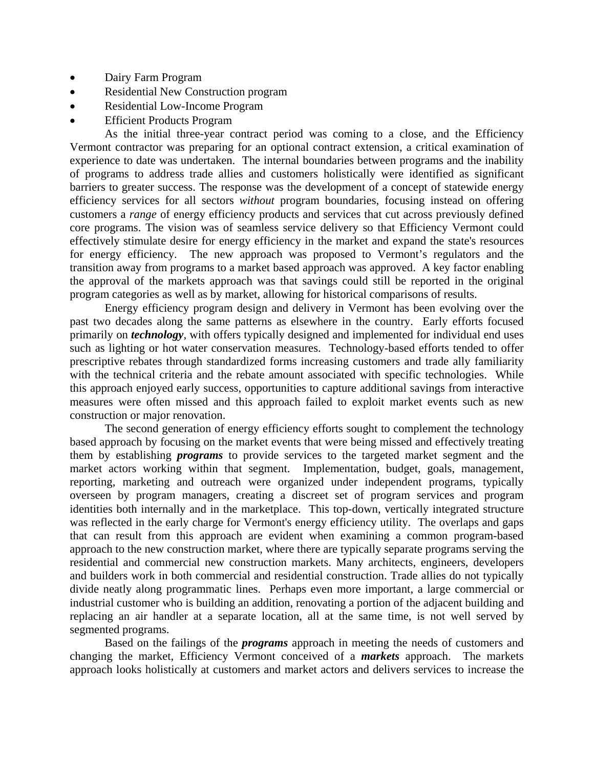- Dairy Farm Program
- Residential New Construction program
- Residential Low-Income Program
- **Efficient Products Program**

As the initial three-year contract period was coming to a close, and the Efficiency Vermont contractor was preparing for an optional contract extension, a critical examination of experience to date was undertaken. The internal boundaries between programs and the inability of programs to address trade allies and customers holistically were identified as significant barriers to greater success. The response was the development of a concept of statewide energy efficiency services for all sectors *without* program boundaries, focusing instead on offering customers a *range* of energy efficiency products and services that cut across previously defined core programs. The vision was of seamless service delivery so that Efficiency Vermont could effectively stimulate desire for energy efficiency in the market and expand the state's resources for energy efficiency. The new approach was proposed to Vermont's regulators and the transition away from programs to a market based approach was approved. A key factor enabling the approval of the markets approach was that savings could still be reported in the original program categories as well as by market, allowing for historical comparisons of results.

Energy efficiency program design and delivery in Vermont has been evolving over the past two decades along the same patterns as elsewhere in the country. Early efforts focused primarily on *technology*, with offers typically designed and implemented for individual end uses such as lighting or hot water conservation measures. Technology-based efforts tended to offer prescriptive rebates through standardized forms increasing customers and trade ally familiarity with the technical criteria and the rebate amount associated with specific technologies. While this approach enjoyed early success, opportunities to capture additional savings from interactive measures were often missed and this approach failed to exploit market events such as new construction or major renovation.

The second generation of energy efficiency efforts sought to complement the technology based approach by focusing on the market events that were being missed and effectively treating them by establishing *programs* to provide services to the targeted market segment and the market actors working within that segment. Implementation, budget, goals, management, reporting, marketing and outreach were organized under independent programs, typically overseen by program managers, creating a discreet set of program services and program identities both internally and in the marketplace. This top-down, vertically integrated structure was reflected in the early charge for Vermont's energy efficiency utility. The overlaps and gaps that can result from this approach are evident when examining a common program-based approach to the new construction market, where there are typically separate programs serving the residential and commercial new construction markets. Many architects, engineers, developers and builders work in both commercial and residential construction. Trade allies do not typically divide neatly along programmatic lines. Perhaps even more important, a large commercial or industrial customer who is building an addition, renovating a portion of the adjacent building and replacing an air handler at a separate location, all at the same time, is not well served by segmented programs.

Based on the failings of the *programs* approach in meeting the needs of customers and changing the market, Efficiency Vermont conceived of a *markets* approach. The markets approach looks holistically at customers and market actors and delivers services to increase the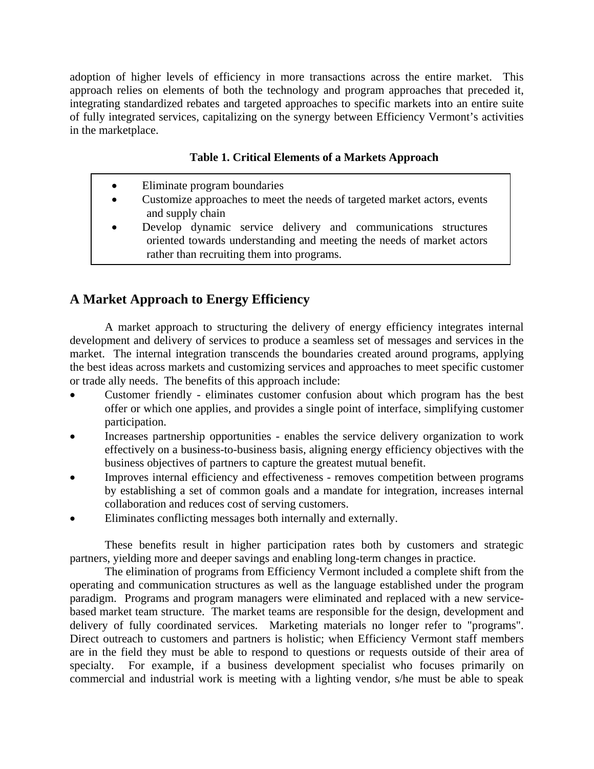adoption of higher levels of efficiency in more transactions across the entire market. This approach relies on elements of both the technology and program approaches that preceded it, integrating standardized rebates and targeted approaches to specific markets into an entire suite of fully integrated services, capitalizing on the synergy between Efficiency Vermont's activities in the marketplace.

## **Table 1. Critical Elements of a Markets Approach**

| $\bullet$ | Eliminate program boundaries                                             |
|-----------|--------------------------------------------------------------------------|
| $\bullet$ | Customize approaches to meet the needs of targeted market actors, events |
|           | and supply chain                                                         |
| $\bullet$ | Develop dynamic service delivery and communications structures           |
|           | oriented towards understanding and meeting the needs of market actors    |
|           | rather than recruiting them into programs.                               |

# **A Market Approach to Energy Efficiency**

A market approach to structuring the delivery of energy efficiency integrates internal development and delivery of services to produce a seamless set of messages and services in the market. The internal integration transcends the boundaries created around programs, applying the best ideas across markets and customizing services and approaches to meet specific customer or trade ally needs. The benefits of this approach include:

- Customer friendly eliminates customer confusion about which program has the best offer or which one applies, and provides a single point of interface, simplifying customer participation.
- Increases partnership opportunities enables the service delivery organization to work effectively on a business-to-business basis, aligning energy efficiency objectives with the business objectives of partners to capture the greatest mutual benefit.
- Improves internal efficiency and effectiveness removes competition between programs by establishing a set of common goals and a mandate for integration, increases internal collaboration and reduces cost of serving customers.
- Eliminates conflicting messages both internally and externally.

These benefits result in higher participation rates both by customers and strategic partners, yielding more and deeper savings and enabling long-term changes in practice.

The elimination of programs from Efficiency Vermont included a complete shift from the operating and communication structures as well as the language established under the program paradigm. Programs and program managers were eliminated and replaced with a new servicebased market team structure. The market teams are responsible for the design, development and delivery of fully coordinated services. Marketing materials no longer refer to "programs". Direct outreach to customers and partners is holistic; when Efficiency Vermont staff members are in the field they must be able to respond to questions or requests outside of their area of specialty. For example, if a business development specialist who focuses primarily on commercial and industrial work is meeting with a lighting vendor, s/he must be able to speak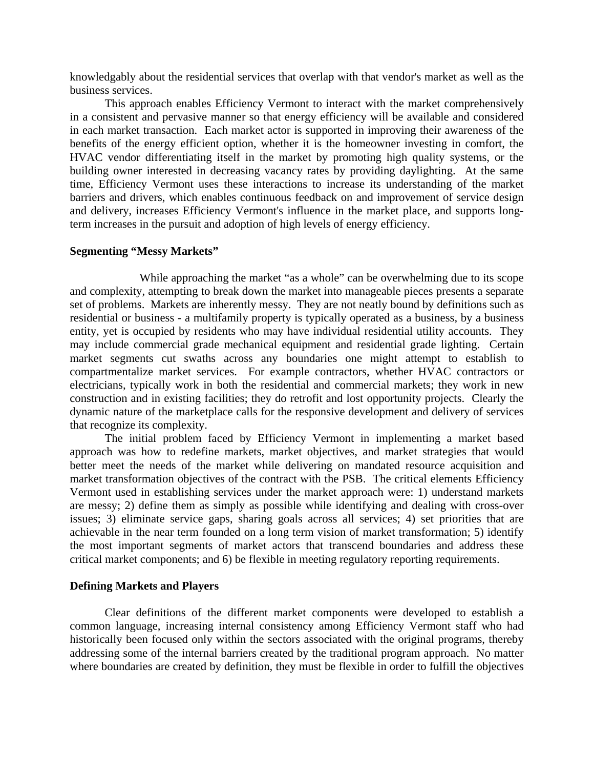knowledgably about the residential services that overlap with that vendor's market as well as the business services.

This approach enables Efficiency Vermont to interact with the market comprehensively in a consistent and pervasive manner so that energy efficiency will be available and considered in each market transaction. Each market actor is supported in improving their awareness of the benefits of the energy efficient option, whether it is the homeowner investing in comfort, the HVAC vendor differentiating itself in the market by promoting high quality systems, or the building owner interested in decreasing vacancy rates by providing daylighting. At the same time, Efficiency Vermont uses these interactions to increase its understanding of the market barriers and drivers, which enables continuous feedback on and improvement of service design and delivery, increases Efficiency Vermont's influence in the market place, and supports longterm increases in the pursuit and adoption of high levels of energy efficiency.

### **Segmenting "Messy Markets"**

 While approaching the market "as a whole" can be overwhelming due to its scope and complexity, attempting to break down the market into manageable pieces presents a separate set of problems. Markets are inherently messy. They are not neatly bound by definitions such as residential or business - a multifamily property is typically operated as a business, by a business entity, yet is occupied by residents who may have individual residential utility accounts. They may include commercial grade mechanical equipment and residential grade lighting. Certain market segments cut swaths across any boundaries one might attempt to establish to compartmentalize market services. For example contractors, whether HVAC contractors or electricians, typically work in both the residential and commercial markets; they work in new construction and in existing facilities; they do retrofit and lost opportunity projects. Clearly the dynamic nature of the marketplace calls for the responsive development and delivery of services that recognize its complexity.

The initial problem faced by Efficiency Vermont in implementing a market based approach was how to redefine markets, market objectives, and market strategies that would better meet the needs of the market while delivering on mandated resource acquisition and market transformation objectives of the contract with the PSB. The critical elements Efficiency Vermont used in establishing services under the market approach were: 1) understand markets are messy; 2) define them as simply as possible while identifying and dealing with cross-over issues; 3) eliminate service gaps, sharing goals across all services; 4) set priorities that are achievable in the near term founded on a long term vision of market transformation; 5) identify the most important segments of market actors that transcend boundaries and address these critical market components; and 6) be flexible in meeting regulatory reporting requirements.

#### **Defining Markets and Players**

Clear definitions of the different market components were developed to establish a common language, increasing internal consistency among Efficiency Vermont staff who had historically been focused only within the sectors associated with the original programs, thereby addressing some of the internal barriers created by the traditional program approach. No matter where boundaries are created by definition, they must be flexible in order to fulfill the objectives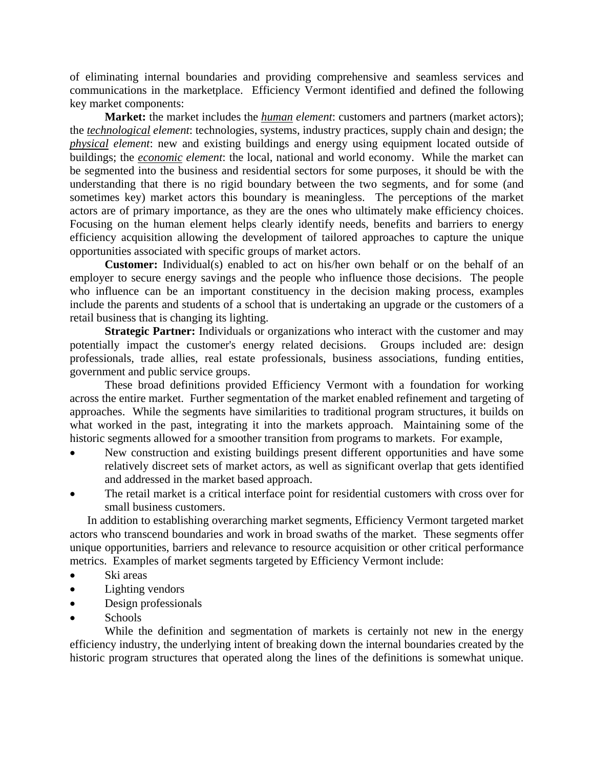of eliminating internal boundaries and providing comprehensive and seamless services and communications in the marketplace. Efficiency Vermont identified and defined the following key market components:

**Market:** the market includes the *human element*: customers and partners (market actors); the *technological element*: technologies, systems, industry practices, supply chain and design; the *physical element*: new and existing buildings and energy using equipment located outside of buildings; the *economic element*: the local, national and world economy. While the market can be segmented into the business and residential sectors for some purposes, it should be with the understanding that there is no rigid boundary between the two segments, and for some (and sometimes key) market actors this boundary is meaningless. The perceptions of the market actors are of primary importance, as they are the ones who ultimately make efficiency choices. Focusing on the human element helps clearly identify needs, benefits and barriers to energy efficiency acquisition allowing the development of tailored approaches to capture the unique opportunities associated with specific groups of market actors.

**Customer:** Individual(s) enabled to act on his/her own behalf or on the behalf of an employer to secure energy savings and the people who influence those decisions. The people who influence can be an important constituency in the decision making process, examples include the parents and students of a school that is undertaking an upgrade or the customers of a retail business that is changing its lighting.

**Strategic Partner:** Individuals or organizations who interact with the customer and may potentially impact the customer's energy related decisions. Groups included are: design professionals, trade allies, real estate professionals, business associations, funding entities, government and public service groups.

These broad definitions provided Efficiency Vermont with a foundation for working across the entire market. Further segmentation of the market enabled refinement and targeting of approaches. While the segments have similarities to traditional program structures, it builds on what worked in the past, integrating it into the markets approach. Maintaining some of the historic segments allowed for a smoother transition from programs to markets. For example,

- New construction and existing buildings present different opportunities and have some relatively discreet sets of market actors, as well as significant overlap that gets identified and addressed in the market based approach.
- The retail market is a critical interface point for residential customers with cross over for small business customers.

In addition to establishing overarching market segments, Efficiency Vermont targeted market actors who transcend boundaries and work in broad swaths of the market. These segments offer unique opportunities, barriers and relevance to resource acquisition or other critical performance metrics. Examples of market segments targeted by Efficiency Vermont include:

- Ski areas
- Lighting vendors
- Design professionals
- Schools

While the definition and segmentation of markets is certainly not new in the energy efficiency industry, the underlying intent of breaking down the internal boundaries created by the historic program structures that operated along the lines of the definitions is somewhat unique.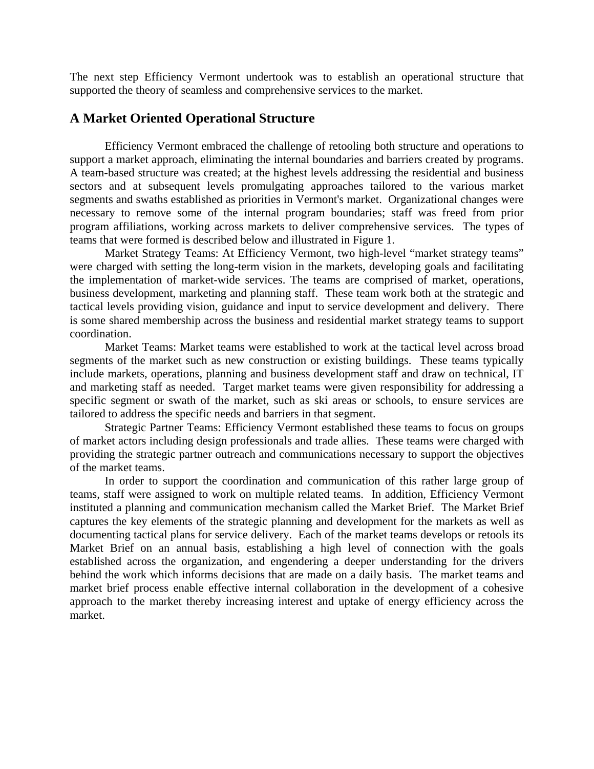The next step Efficiency Vermont undertook was to establish an operational structure that supported the theory of seamless and comprehensive services to the market.

## **A Market Oriented Operational Structure**

Efficiency Vermont embraced the challenge of retooling both structure and operations to support a market approach, eliminating the internal boundaries and barriers created by programs. A team-based structure was created; at the highest levels addressing the residential and business sectors and at subsequent levels promulgating approaches tailored to the various market segments and swaths established as priorities in Vermont's market. Organizational changes were necessary to remove some of the internal program boundaries; staff was freed from prior program affiliations, working across markets to deliver comprehensive services. The types of teams that were formed is described below and illustrated in Figure 1.

Market Strategy Teams: At Efficiency Vermont, two high-level "market strategy teams" were charged with setting the long-term vision in the markets, developing goals and facilitating the implementation of market-wide services. The teams are comprised of market, operations, business development, marketing and planning staff. These team work both at the strategic and tactical levels providing vision, guidance and input to service development and delivery. There is some shared membership across the business and residential market strategy teams to support coordination.

Market Teams: Market teams were established to work at the tactical level across broad segments of the market such as new construction or existing buildings. These teams typically include markets, operations, planning and business development staff and draw on technical, IT and marketing staff as needed. Target market teams were given responsibility for addressing a specific segment or swath of the market, such as ski areas or schools, to ensure services are tailored to address the specific needs and barriers in that segment.

Strategic Partner Teams: Efficiency Vermont established these teams to focus on groups of market actors including design professionals and trade allies. These teams were charged with providing the strategic partner outreach and communications necessary to support the objectives of the market teams.

In order to support the coordination and communication of this rather large group of teams, staff were assigned to work on multiple related teams. In addition, Efficiency Vermont instituted a planning and communication mechanism called the Market Brief. The Market Brief captures the key elements of the strategic planning and development for the markets as well as documenting tactical plans for service delivery. Each of the market teams develops or retools its Market Brief on an annual basis, establishing a high level of connection with the goals established across the organization, and engendering a deeper understanding for the drivers behind the work which informs decisions that are made on a daily basis. The market teams and market brief process enable effective internal collaboration in the development of a cohesive approach to the market thereby increasing interest and uptake of energy efficiency across the market.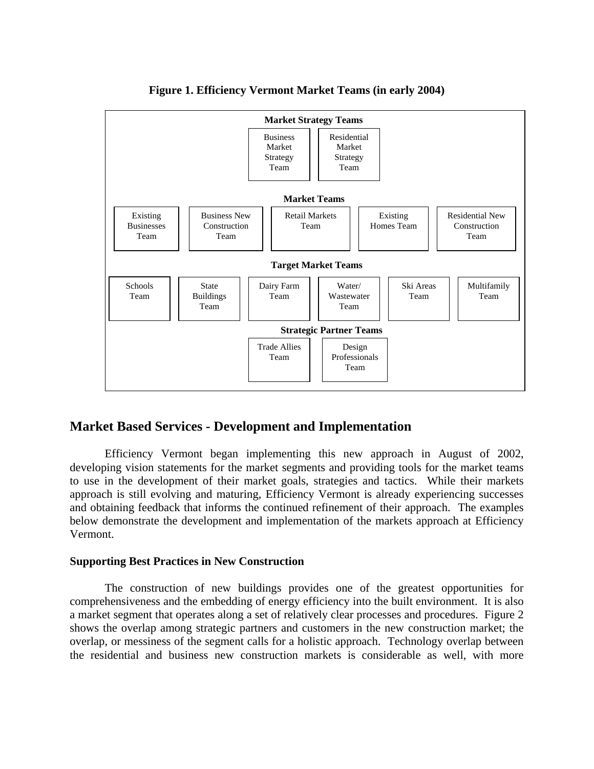

**Figure 1. Efficiency Vermont Market Teams (in early 2004)** 

# **Market Based Services - Development and Implementation**

Efficiency Vermont began implementing this new approach in August of 2002, developing vision statements for the market segments and providing tools for the market teams to use in the development of their market goals, strategies and tactics. While their markets approach is still evolving and maturing, Efficiency Vermont is already experiencing successes and obtaining feedback that informs the continued refinement of their approach. The examples below demonstrate the development and implementation of the markets approach at Efficiency Vermont.

## **Supporting Best Practices in New Construction**

The construction of new buildings provides one of the greatest opportunities for comprehensiveness and the embedding of energy efficiency into the built environment. It is also a market segment that operates along a set of relatively clear processes and procedures. Figure 2 shows the overlap among strategic partners and customers in the new construction market; the overlap, or messiness of the segment calls for a holistic approach. Technology overlap between the residential and business new construction markets is considerable as well, with more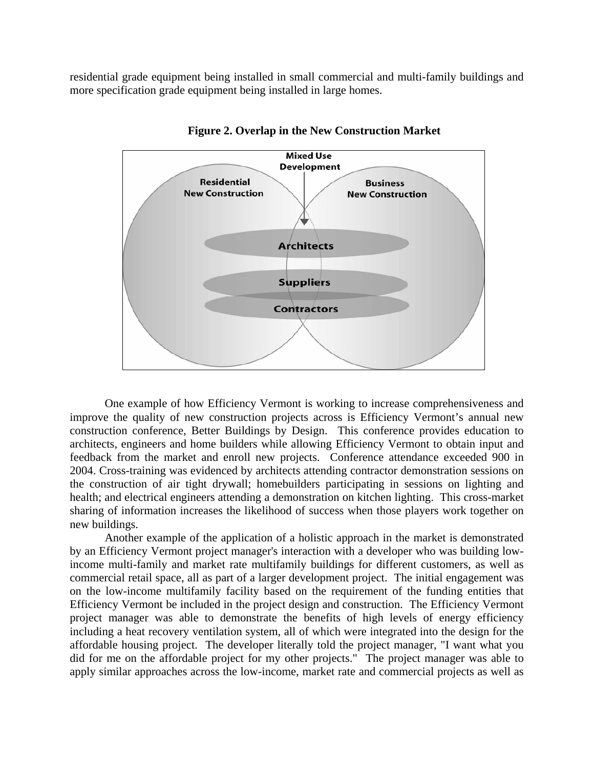residential grade equipment being installed in small commercial and multi-family buildings and more specification grade equipment being installed in large homes.



**Figure 2. Overlap in the New Construction Market** 

One example of how Efficiency Vermont is working to increase comprehensiveness and improve the quality of new construction projects across is Efficiency Vermont's annual new construction conference, Better Buildings by Design. This conference provides education to architects, engineers and home builders while allowing Efficiency Vermont to obtain input and feedback from the market and enroll new projects. Conference attendance exceeded 900 in 2004. Cross-training was evidenced by architects attending contractor demonstration sessions on the construction of air tight drywall; homebuilders participating in sessions on lighting and health; and electrical engineers attending a demonstration on kitchen lighting. This cross-market sharing of information increases the likelihood of success when those players work together on new buildings.

Another example of the application of a holistic approach in the market is demonstrated by an Efficiency Vermont project manager's interaction with a developer who was building lowincome multi-family and market rate multifamily buildings for different customers, as well as commercial retail space, all as part of a larger development project. The initial engagement was on the low-income multifamily facility based on the requirement of the funding entities that Efficiency Vermont be included in the project design and construction. The Efficiency Vermont project manager was able to demonstrate the benefits of high levels of energy efficiency including a heat recovery ventilation system, all of which were integrated into the design for the affordable housing project. The developer literally told the project manager, "I want what you did for me on the affordable project for my other projects." The project manager was able to apply similar approaches across the low-income, market rate and commercial projects as well as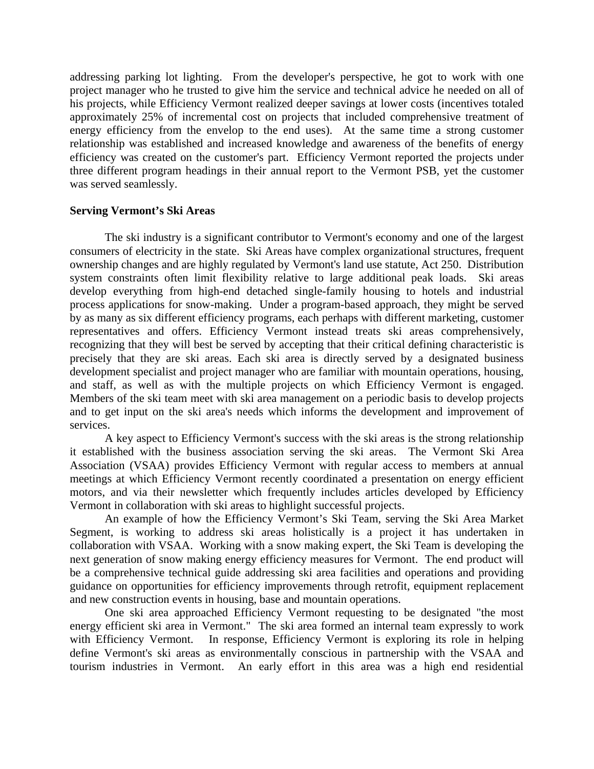addressing parking lot lighting. From the developer's perspective, he got to work with one project manager who he trusted to give him the service and technical advice he needed on all of his projects, while Efficiency Vermont realized deeper savings at lower costs (incentives totaled approximately 25% of incremental cost on projects that included comprehensive treatment of energy efficiency from the envelop to the end uses). At the same time a strong customer relationship was established and increased knowledge and awareness of the benefits of energy efficiency was created on the customer's part. Efficiency Vermont reported the projects under three different program headings in their annual report to the Vermont PSB, yet the customer was served seamlessly.

### **Serving Vermont's Ski Areas**

The ski industry is a significant contributor to Vermont's economy and one of the largest consumers of electricity in the state. Ski Areas have complex organizational structures, frequent ownership changes and are highly regulated by Vermont's land use statute, Act 250. Distribution system constraints often limit flexibility relative to large additional peak loads. Ski areas develop everything from high-end detached single-family housing to hotels and industrial process applications for snow-making. Under a program-based approach, they might be served by as many as six different efficiency programs, each perhaps with different marketing, customer representatives and offers. Efficiency Vermont instead treats ski areas comprehensively, recognizing that they will best be served by accepting that their critical defining characteristic is precisely that they are ski areas. Each ski area is directly served by a designated business development specialist and project manager who are familiar with mountain operations, housing, and staff, as well as with the multiple projects on which Efficiency Vermont is engaged. Members of the ski team meet with ski area management on a periodic basis to develop projects and to get input on the ski area's needs which informs the development and improvement of services.

A key aspect to Efficiency Vermont's success with the ski areas is the strong relationship it established with the business association serving the ski areas. The Vermont Ski Area Association (VSAA) provides Efficiency Vermont with regular access to members at annual meetings at which Efficiency Vermont recently coordinated a presentation on energy efficient motors, and via their newsletter which frequently includes articles developed by Efficiency Vermont in collaboration with ski areas to highlight successful projects.

An example of how the Efficiency Vermont's Ski Team, serving the Ski Area Market Segment, is working to address ski areas holistically is a project it has undertaken in collaboration with VSAA. Working with a snow making expert, the Ski Team is developing the next generation of snow making energy efficiency measures for Vermont. The end product will be a comprehensive technical guide addressing ski area facilities and operations and providing guidance on opportunities for efficiency improvements through retrofit, equipment replacement and new construction events in housing, base and mountain operations.

One ski area approached Efficiency Vermont requesting to be designated "the most energy efficient ski area in Vermont." The ski area formed an internal team expressly to work with Efficiency Vermont. In response, Efficiency Vermont is exploring its role in helping define Vermont's ski areas as environmentally conscious in partnership with the VSAA and tourism industries in Vermont. An early effort in this area was a high end residential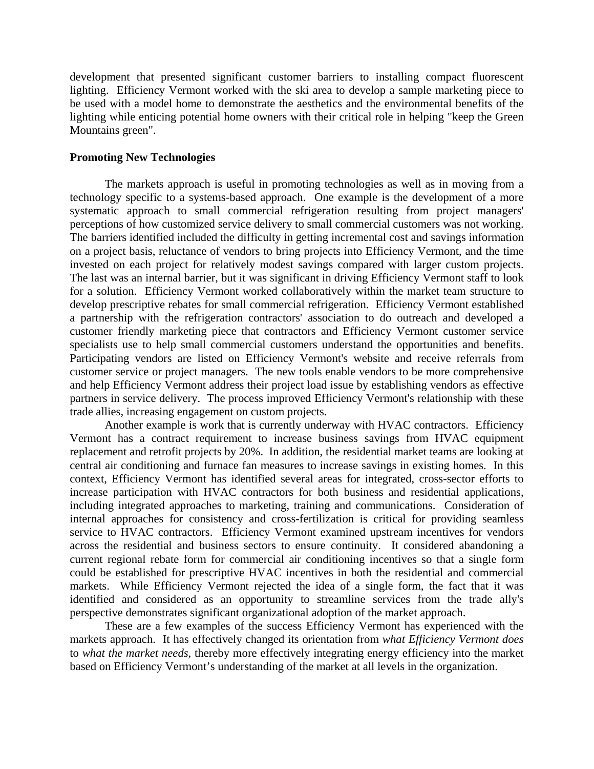development that presented significant customer barriers to installing compact fluorescent lighting. Efficiency Vermont worked with the ski area to develop a sample marketing piece to be used with a model home to demonstrate the aesthetics and the environmental benefits of the lighting while enticing potential home owners with their critical role in helping "keep the Green Mountains green".

#### **Promoting New Technologies**

The markets approach is useful in promoting technologies as well as in moving from a technology specific to a systems-based approach. One example is the development of a more systematic approach to small commercial refrigeration resulting from project managers' perceptions of how customized service delivery to small commercial customers was not working. The barriers identified included the difficulty in getting incremental cost and savings information on a project basis, reluctance of vendors to bring projects into Efficiency Vermont, and the time invested on each project for relatively modest savings compared with larger custom projects. The last was an internal barrier, but it was significant in driving Efficiency Vermont staff to look for a solution. Efficiency Vermont worked collaboratively within the market team structure to develop prescriptive rebates for small commercial refrigeration. Efficiency Vermont established a partnership with the refrigeration contractors' association to do outreach and developed a customer friendly marketing piece that contractors and Efficiency Vermont customer service specialists use to help small commercial customers understand the opportunities and benefits. Participating vendors are listed on Efficiency Vermont's website and receive referrals from customer service or project managers. The new tools enable vendors to be more comprehensive and help Efficiency Vermont address their project load issue by establishing vendors as effective partners in service delivery. The process improved Efficiency Vermont's relationship with these trade allies, increasing engagement on custom projects.

Another example is work that is currently underway with HVAC contractors. Efficiency Vermont has a contract requirement to increase business savings from HVAC equipment replacement and retrofit projects by 20%. In addition, the residential market teams are looking at central air conditioning and furnace fan measures to increase savings in existing homes. In this context, Efficiency Vermont has identified several areas for integrated, cross-sector efforts to increase participation with HVAC contractors for both business and residential applications, including integrated approaches to marketing, training and communications. Consideration of internal approaches for consistency and cross-fertilization is critical for providing seamless service to HVAC contractors. Efficiency Vermont examined upstream incentives for vendors across the residential and business sectors to ensure continuity. It considered abandoning a current regional rebate form for commercial air conditioning incentives so that a single form could be established for prescriptive HVAC incentives in both the residential and commercial markets. While Efficiency Vermont rejected the idea of a single form, the fact that it was identified and considered as an opportunity to streamline services from the trade ally's perspective demonstrates significant organizational adoption of the market approach.

These are a few examples of the success Efficiency Vermont has experienced with the markets approach. It has effectively changed its orientation from *what Efficiency Vermont does*  to *what the market needs*, thereby more effectively integrating energy efficiency into the market based on Efficiency Vermont's understanding of the market at all levels in the organization.